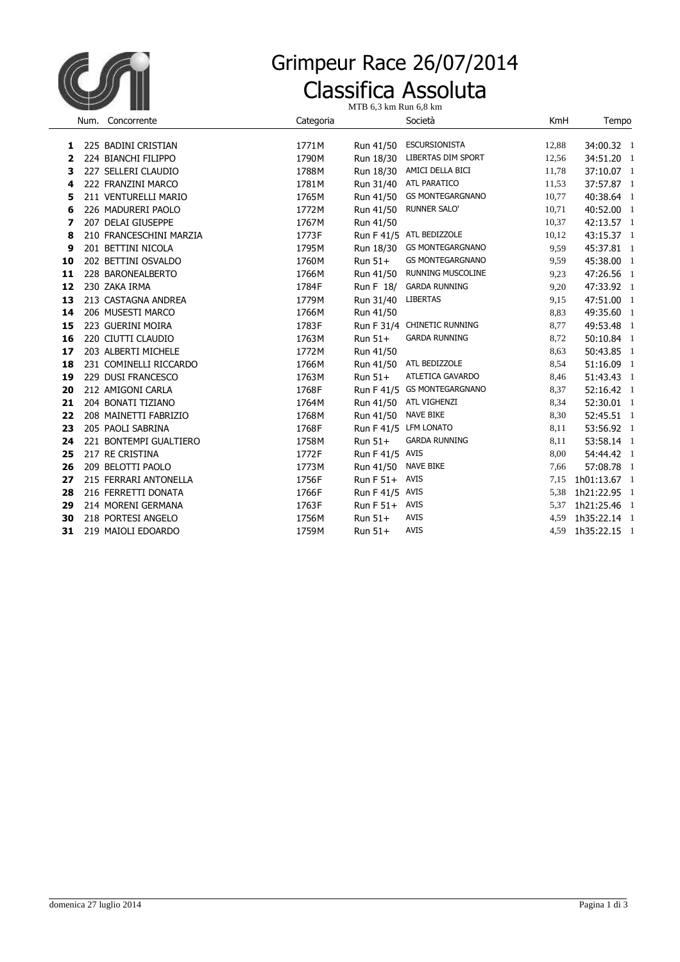

## Classifica Assoluta Grimpeur Race 26/07/2014

MTB 6,3 km Run 6,8 km

|    | Num. Concorrente        | Categoria |                 | Società                     | KmH   | Tempo        |
|----|-------------------------|-----------|-----------------|-----------------------------|-------|--------------|
| 1  | 225 BADINI CRISTIAN     | 1771M     | Run 41/50       | ESCURSIONISTA               | 12,88 | 34:00.32 1   |
| 2  | 224 BIANCHI FILIPPO     | 1790M     | Run 18/30       | <b>LIBERTAS DIM SPORT</b>   | 12,56 | 34:51.20 1   |
| з  | 227 SELLERI CLAUDIO     | 1788M     | Run 18/30       | AMICI DELLA BICI            | 11,78 | 37:10.07 1   |
| 4  | 222 FRANZINI MARCO      | 1781M     | Run 31/40       | ATL PARATICO                | 11,53 | 37:57.87 1   |
| 5  | 211 VENTURELLI MARIO    | 1765M     | Run 41/50       | <b>GS MONTEGARGNANO</b>     | 10,77 | 40:38.64 1   |
| 6  | 226 MADURERI PAOLO      | 1772M     | Run 41/50       | <b>RUNNER SALO'</b>         | 10,71 | 40:52.00 1   |
| 7  | 207 DELAI GIUSEPPE      | 1767M     | Run 41/50       |                             | 10,37 | 42:13.57 1   |
| 8  | 210 FRANCESCHINI MARZIA | 1773F     |                 | Run F 41/5 ATL BEDIZZOLE    | 10,12 | 43:15.37 1   |
| 9  | 201 BETTINI NICOLA      | 1795M     | Run 18/30       | <b>GS MONTEGARGNANO</b>     | 9,59  | 45:37.81 1   |
| 10 | 202 BETTINI OSVALDO     | 1760M     | $Run 51+$       | <b>GS MONTEGARGNANO</b>     | 9,59  | 45:38.00 1   |
| 11 | 228 BARONEALBERTO       | 1766M     | Run 41/50       | <b>RUNNING MUSCOLINE</b>    | 9,23  | 47:26.56 1   |
| 12 | 230 ZAKA IRMA           | 1784F     | Run F 18/       | <b>GARDA RUNNING</b>        | 9,20  | 47:33.92 1   |
| 13 | 213 CASTAGNA ANDREA     | 1779M     | Run 31/40       | <b>LIBERTAS</b>             | 9,15  | 47:51.00 1   |
| 14 | 206 MUSESTI MARCO       | 1766M     | Run 41/50       |                             | 8,83  | 49:35.60 1   |
| 15 | 223 GUERINI MOIRA       | 1783F     |                 | Run F 31/4 CHINETIC RUNNING | 8,77  | 49:53.48 1   |
| 16 | 220 CIUTTI CLAUDIO      | 1763M     | $Run 51+$       | <b>GARDA RUNNING</b>        | 8,72  | 50:10.84 1   |
| 17 | 203 ALBERTI MICHELE     | 1772M     | Run 41/50       |                             | 8,63  | 50:43.85 1   |
| 18 | 231 COMINELLI RICCARDO  | 1766M     |                 | Run 41/50 ATL BEDIZZOLE     | 8,54  | 51:16.09 1   |
| 19 | 229 DUSI FRANCESCO      | 1763M     | $Run 51+$       | ATLETICA GAVARDO            | 8,46  | 51:43.43 1   |
| 20 | 212 AMIGONI CARLA       | 1768F     |                 | Run F 41/5 GS MONTEGARGNANO | 8,37  | 52:16.42 1   |
| 21 | 204 BONATI TIZIANO      | 1764M     | Run 41/50       | ATL VIGHENZI                | 8,34  | 52:30.01 1   |
| 22 | 208 MAINETTI FABRIZIO   | 1768M     | Run 41/50       | <b>NAVE BIKE</b>            | 8,30  | 52:45.51 1   |
| 23 | 205 PAOLI SABRINA       | 1768F     |                 | Run F 41/5 LFM LONATO       | 8,11  | 53:56.92 1   |
| 24 | 221 BONTEMPI GUALTIERO  | 1758M     | $Run 51+$       | <b>GARDA RUNNING</b>        | 8,11  | 53:58.14 1   |
| 25 | 217 RE CRISTINA         | 1772F     | Run F 41/5 AVIS |                             | 8,00  | 54:44.42 1   |
| 26 | 209 BELOTTI PAOLO       | 1773M     | Run 41/50       | <b>NAVE BIKE</b>            | 7,66  | 57:08.78 1   |
| 27 | 215 FERRARI ANTONELLA   | 1756F     | Run F 51+ AVIS  |                             | 7,15  | 1h01:13.67 1 |
| 28 | 216 FERRETTI DONATA     | 1766F     | Run F 41/5 AVIS |                             | 5,38  | 1h21:22.95 1 |
| 29 | 214 MORENI GERMANA      | 1763F     | Run F 51+ AVIS  |                             | 5,37  | 1h21:25.46 1 |
| 30 | 218 PORTESI ANGELO      | 1756M     | Run 51+         | <b>AVIS</b>                 | 4,59  | 1h35:22.14 1 |
| 31 | 219 MAIOLI EDOARDO      | 1759M     | Run 51+         | <b>AVIS</b>                 | 4,59  | 1h35:22.15 1 |
|    |                         |           |                 |                             |       |              |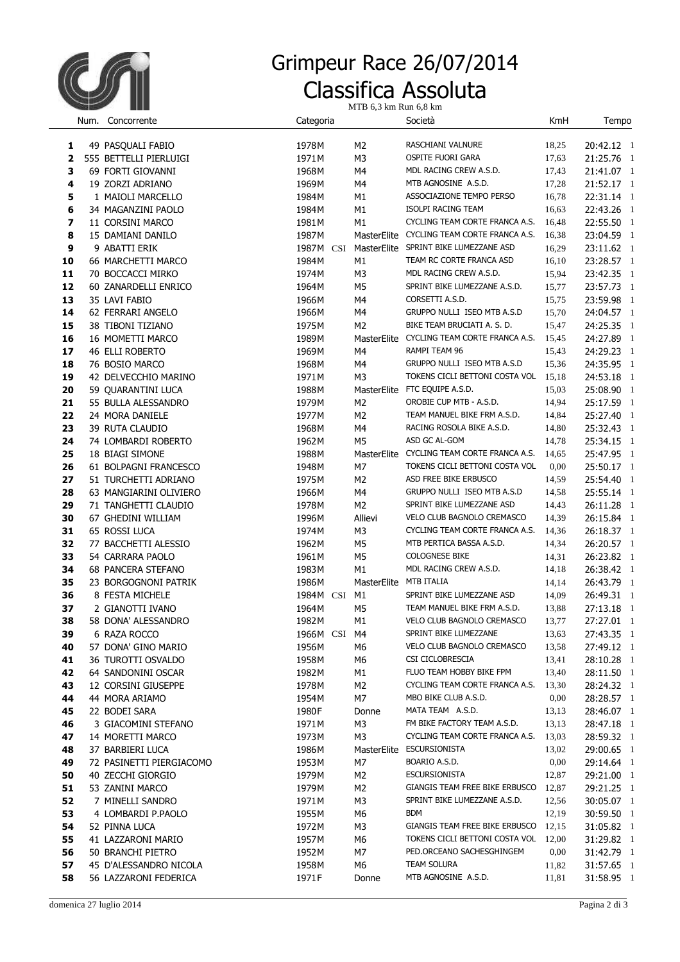

## Classifica Assoluta Grimpeur Race 26/07/2014

MTB 6,3 km Run 6,8 km

|                         | Num. Concorrente                      | Categoria |                        | Società                                    | KmH   | Tempo                    |
|-------------------------|---------------------------------------|-----------|------------------------|--------------------------------------------|-------|--------------------------|
| 1                       | 49 PASQUALI FABIO                     | 1978M     | M <sub>2</sub>         | RASCHIANI VALNURE                          | 18,25 | 20:42.12 1               |
| $\overline{\mathbf{2}}$ | 555 BETTELLI PIERLUIGI                | 1971M     | M3                     | OSPITE FUORI GARA                          | 17,63 | 21:25.76 1               |
| 3                       | 69 FORTI GIOVANNI                     | 1968M     | M4                     | MDL RACING CREW A.S.D.                     | 17,43 | 21:41.07 1               |
| 4                       | 19 ZORZI ADRIANO                      | 1969M     | M4                     | MTB AGNOSINE A.S.D.                        | 17,28 | 21:52.17 1               |
| 5                       | 1 MAIOLI MARCELLO                     | 1984M     | M1                     | ASSOCIAZIONE TEMPO PERSO                   | 16,78 | 22:31.14 1               |
| 6                       | 34 MAGANZINI PAOLO                    | 1984M     | М1                     | ISOLPI RACING TEAM                         | 16,63 | 22:43.26 1               |
| $\overline{\mathbf{z}}$ |                                       |           | M1                     | CYCLING TEAM CORTE FRANCA A.S.             |       |                          |
|                         | 11 CORSINI MARCO<br>15 DAMIANI DANILO | 1981M     |                        | MasterElite CYCLING TEAM CORTE FRANCA A.S. | 16,48 | 22:55.50 1               |
| 8                       |                                       | 1987M     |                        | MasterElite SPRINT BIKE LUMEZZANE ASD      | 16,38 | 23:04.59 1               |
| 9                       | 9 ABATTI ERIK                         | 1987M CSI |                        |                                            | 16,29 | 23:11.62 1               |
| 10                      | 66 MARCHETTI MARCO                    | 1984M     | М1                     | TEAM RC CORTE FRANCA ASD                   | 16,10 | 23:28.57 1               |
| 11                      | 70 BOCCACCI MIRKO                     | 1974M     | M3                     | MDL RACING CREW A.S.D.                     | 15,94 | 23:42.35 1               |
| 12                      | 60 ZANARDELLI ENRICO                  | 1964M     | M5                     | SPRINT BIKE LUMEZZANE A.S.D.               | 15,77 | 23:57.73 1               |
| 13                      | 35 LAVI FABIO                         | 1966M     | M4                     | CORSETTI A.S.D.                            | 15,75 | 23:59.98 1               |
| 14                      | 62 FERRARI ANGELO                     | 1966M     | M4                     | GRUPPO NULLI ISEO MTB A.S.D                | 15,70 | 24:04.57 1               |
| 15                      | 38 TIBONI TIZIANO                     | 1975M     | M <sub>2</sub>         | BIKE TEAM BRUCIATI A. S. D.                | 15,47 | 24:25.35 1               |
| 16                      | 16 MOMETTI MARCO                      | 1989M     |                        | MasterElite CYCLING TEAM CORTE FRANCA A.S. | 15,45 | 24:27.89 1               |
| 17                      | <b>46 ELLI ROBERTO</b>                | 1969M     | M4                     | RAMPI TEAM 96                              | 15,43 | 24:29.23 1               |
| 18                      | 76 BOSIO MARCO                        | 1968M     | M4                     | GRUPPO NULLI ISEO MTB A.S.D                | 15,36 | 24:35.95 1               |
| 19                      | 42 DELVECCHIO MARINO                  | 1971M     | M3                     | TOKENS CICLI BETTONI COSTA VOL             | 15,18 | 24:53.18 1               |
| 20                      | 59 QUARANTINI LUCA                    | 1988M     |                        | MasterElite FTC EQUIPE A.S.D.              | 15,03 | 25:08.90 1               |
| 21                      | 55 BULLA ALESSANDRO                   | 1979M     | M <sub>2</sub>         | OROBIE CUP MTB - A.S.D.                    | 14,94 | 25:17.59 1               |
| 22                      | 24 MORA DANIELE                       | 1977M     | M2                     | TEAM MANUEL BIKE FRM A.S.D.                | 14,84 | 25:27.40 1               |
| 23                      | 39 RUTA CLAUDIO                       | 1968M     | M4                     | RACING ROSOLA BIKE A.S.D.                  | 14,80 | 25:32.43 1               |
| 24                      | 74 LOMBARDI ROBERTO                   | 1962M     | M <sub>5</sub>         | ASD GC AL-GOM                              | 14,78 | 25:34.15 1               |
| 25                      | 18 BIAGI SIMONE                       | 1988M     |                        | MasterElite CYCLING TEAM CORTE FRANCA A.S. | 14,65 | 25:47.95 1               |
| 26                      | 61 BOLPAGNI FRANCESCO                 | 1948M     | M7                     | TOKENS CICLI BETTONI COSTA VOL             | 0,00  | 25:50.17 1               |
| 27                      | 51 TURCHETTI ADRIANO                  | 1975M     | M <sub>2</sub>         | ASD FREE BIKE ERBUSCO                      | 14,59 | 25:54.40 1               |
| 28                      | 63 MANGIARINI OLIVIERO                | 1966M     | M4                     | GRUPPO NULLI ISEO MTB A.S.D                | 14,58 | 25:55.14 1               |
| 29                      | 71 TANGHETTI CLAUDIO                  | 1978M     | M2                     | SPRINT BIKE LUMEZZANE ASD                  | 14,43 | 26:11.28 1               |
| 30                      | 67 GHEDINI WILLIAM                    | 1996M     | Allievi                | VELO CLUB BAGNOLO CREMASCO                 | 14,39 | 26:15.84 1               |
| 31                      | 65 ROSSI LUCA                         | 1974M     | M <sub>3</sub>         | CYCLING TEAM CORTE FRANCA A.S.             | 14,36 | 26:18.37 1               |
| 32                      | 77 BACCHETTI ALESSIO                  | 1962M     | M <sub>5</sub>         | MTB PERTICA BASSA A.S.D.                   | 14,34 | 26:20.57 1               |
| 33                      | 54 CARRARA PAOLO                      | 1961M     | M5                     | <b>COLOGNESE BIKE</b>                      | 14,31 | 26:23.82 1               |
| 34                      | <b>68 PANCERA STEFANO</b>             | 1983M     | M1                     | MDL RACING CREW A.S.D.                     | 14,18 | 26:38.42 1               |
| 35                      | 23 BORGOGNONI PATRIK                  | 1986M     | MasterElite MTB ITALIA |                                            | 14,14 | 26:43.79 1               |
| 36                      | 8 FESTA MICHELE                       | 1984M CSI | M1                     | SPRINT BIKE LUMEZZANE ASD                  | 14,09 | 26:49.31 1               |
| 37                      | 2 GIANOTTI IVANO                      | 1964M     | M <sub>5</sub>         | TEAM MANUEL BIKE FRM A.S.D.                | 13,88 | 27:13.18 1               |
| 38                      | 58 DONA' ALESSANDRO                   | 1982M     | M1                     | VELO CLUB BAGNOLO CREMASCO                 | 13,77 | 27:27.01 1               |
| 39                      | 6 RAZA ROCCO                          | 1966M CSI | M4                     | SPRINT BIKE LUMEZZANE                      | 13,63 | 27:43.35 1               |
| 40                      | 57 DONA' GINO MARIO                   | 1956M     | M6                     | VELO CLUB BAGNOLO CREMASCO                 | 13,58 | 27:49.12 1               |
| 41                      | 36 TUROTTI OSVALDO                    | 1958M     | M6                     | CSI CICLOBRESCIA                           | 13,41 | 28:10.28 1               |
| 42                      | 64 SANDONINI OSCAR                    | 1982M     | M1                     | FLUO TEAM HOBBY BIKE FPM                   | 13,40 | 28:11.50 1               |
| 43                      | 12 CORSINI GIUSEPPE                   | 1978M     | M2                     | CYCLING TEAM CORTE FRANCA A.S.             | 13,30 | 28:24.32 1               |
| 44                      | 44 MORA ARIAMO                        | 1954M     | M7                     | MBO BIKE CLUB A.S.D.                       | 0,00  | 28:28.57 1               |
| 45                      | 22 BODEI SARA                         | 1980F     | Donne                  | MATA TEAM A.S.D.                           | 13,13 | 28:46.07 1               |
| 46                      | 3 GIACOMINI STEFANO                   | 1971M     | M3                     | FM BIKE FACTORY TEAM A.S.D.                | 13,13 | 28:47.18 1               |
| 47                      | 14 MORETTI MARCO                      | 1973M     | M3                     | CYCLING TEAM CORTE FRANCA A.S.             | 13,03 | 28:59.32 1               |
| 48                      | 37 BARBIERI LUCA                      | 1986M     |                        | MasterElite ESCURSIONISTA                  | 13,02 | 29:00.65 1               |
| 49                      | 72 PASINETTI PIERGIACOMO              | 1953M     | M7                     | BOARIO A.S.D.                              | 0,00  | 29:14.64 1               |
| 50                      | 40 ZECCHI GIORGIO                     | 1979M     | M2                     | <b>ESCURSIONISTA</b>                       | 12,87 | 29:21.00 1               |
| 51                      | 53 ZANINI MARCO                       | 1979M     | M2                     | GIANGIS TEAM FREE BIKE ERBUSCO             | 12,87 | 29:21.25 1               |
| 52                      | 7 MINELLI SANDRO                      | 1971M     | M <sub>3</sub>         | SPRINT BIKE LUMEZZANE A.S.D.               | 12,56 | 30:05.07 1               |
| 53                      | 4 LOMBARDI P.PAOLO                    | 1955M     | M6                     | BDM                                        | 12,19 | 30:59.50 1               |
| 54                      | 52 PINNA LUCA                         | 1972M     | M3                     | GIANGIS TEAM FREE BIKE ERBUSCO             | 12,15 | 31:05.82 1               |
| 55                      | 41 LAZZARONI MARIO                    | 1957M     | M6                     | TOKENS CICLI BETTONI COSTA VOL 12,00       |       | 31:29.82 1               |
| 56                      | 50 BRANCHI PIETRO                     | 1952M     | M7                     | PED.ORCEANO SACHESGHINGEM                  | 0,00  | 31:42.79 1               |
| 57                      | 45 D'ALESSANDRO NICOLA                | 1958M     | M6                     | TEAM SOLURA                                | 11,82 |                          |
| 58                      | 56 LAZZARONI FEDERICA                 | 1971F     | Donne                  | MTB AGNOSINE A.S.D.                        | 11,81 | 31:57.65 1<br>31:58.95 1 |
|                         |                                       |           |                        |                                            |       |                          |